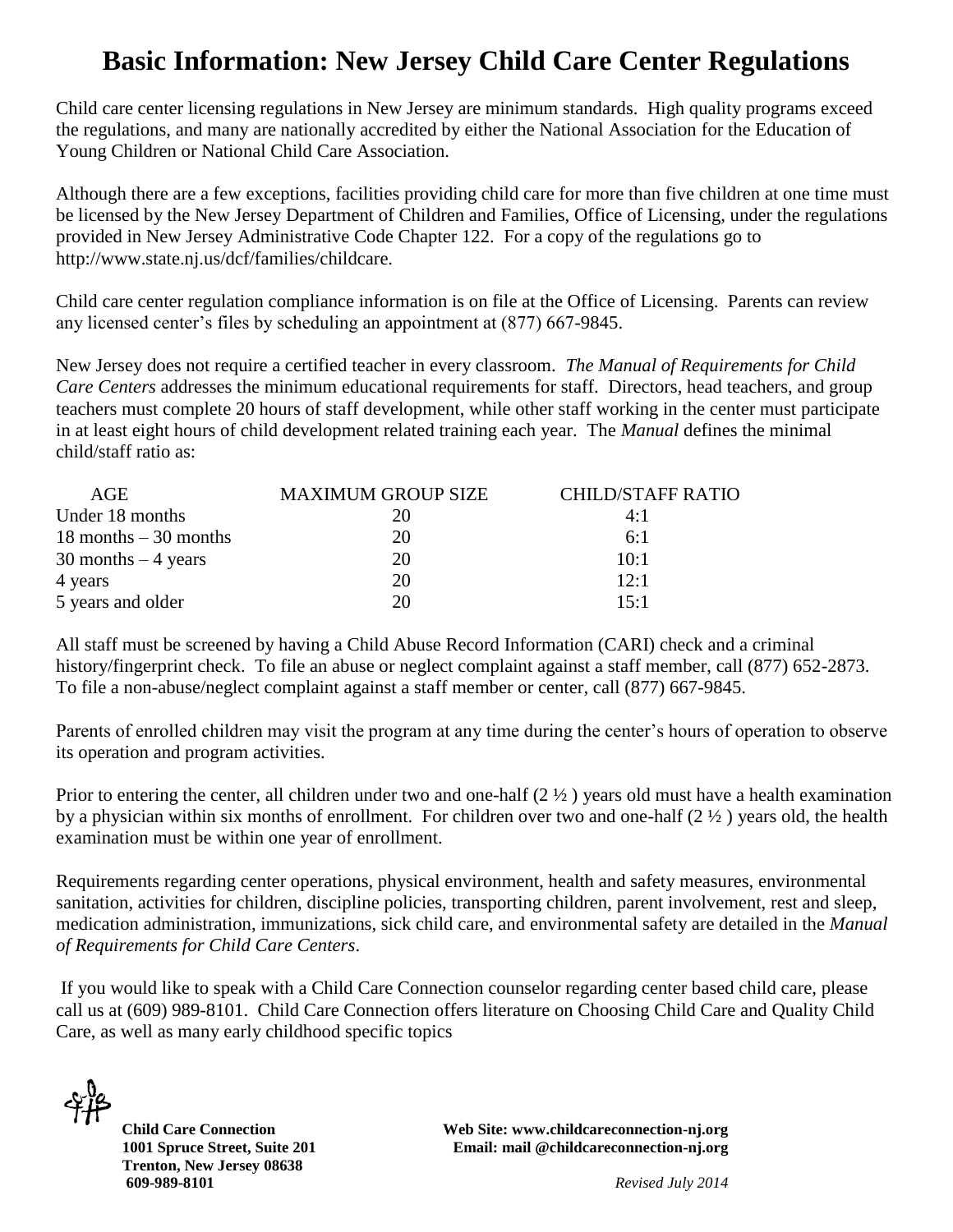## **Basic Information: New Jersey Child Care Center Regulations**

Child care center licensing regulations in New Jersey are minimum standards. High quality programs exceed the regulations, and many are nationally accredited by either the National Association for the Education of Young Children or National Child Care Association.

Although there are a few exceptions, facilities providing child care for more than five children at one time must be licensed by the New Jersey Department of Children and Families, Office of Licensing, under the regulations provided in New Jersey Administrative Code Chapter 122. For a copy of the regulations go to http://www.state.nj.us/dcf/families/childcare.

Child care center regulation compliance information is on file at the Office of Licensing. Parents can review any licensed center's files by scheduling an appointment at (877) 667-9845.

New Jersey does not require a certified teacher in every classroom. *The Manual of Requirements for Child Care Centers* addresses the minimum educational requirements for staff. Directors, head teachers, and group teachers must complete 20 hours of staff development, while other staff working in the center must participate in at least eight hours of child development related training each year. The *Manual* defines the minimal child/staff ratio as:

| AGE                      | <b>MAXIMUM GROUP SIZE</b> | <b>CHILD/STAFF RATIO</b> |
|--------------------------|---------------------------|--------------------------|
| Under 18 months          |                           | 4:1                      |
| $18$ months $-30$ months | 20                        | 6:1                      |
| $30$ months $-4$ years   | 20                        | 10:1                     |
| 4 years                  | 20                        | 12:1                     |
| 5 years and older        | 20                        | 15:1                     |

All staff must be screened by having a Child Abuse Record Information (CARI) check and a criminal history/fingerprint check. To file an abuse or neglect complaint against a staff member, call (877) 652-2873. To file a non-abuse/neglect complaint against a staff member or center, call (877) 667-9845.

Parents of enrolled children may visit the program at any time during the center's hours of operation to observe its operation and program activities.

Prior to entering the center, all children under two and one-half  $(2 \frac{1}{2})$  years old must have a health examination by a physician within six months of enrollment. For children over two and one-half (2 ½ ) years old, the health examination must be within one year of enrollment.

Requirements regarding center operations, physical environment, health and safety measures, environmental sanitation, activities for children, discipline policies, transporting children, parent involvement, rest and sleep, medication administration, immunizations, sick child care, and environmental safety are detailed in the *Manual of Requirements for Child Care Centers*.

If you would like to speak with a Child Care Connection counselor regarding center based child care, please call us at (609) 989-8101. Child Care Connection offers literature on Choosing Child Care and Quality Child Care, as well as many early childhood specific topics

 **Trenton, New Jersey 08638 609-989-8101** *Revised July 2014*

**Child Care Connection Web Site: www.childcareconnection-nj.org 1001 Spruce Street, Suite 201 Email: mail @childcareconnection-nj.org**